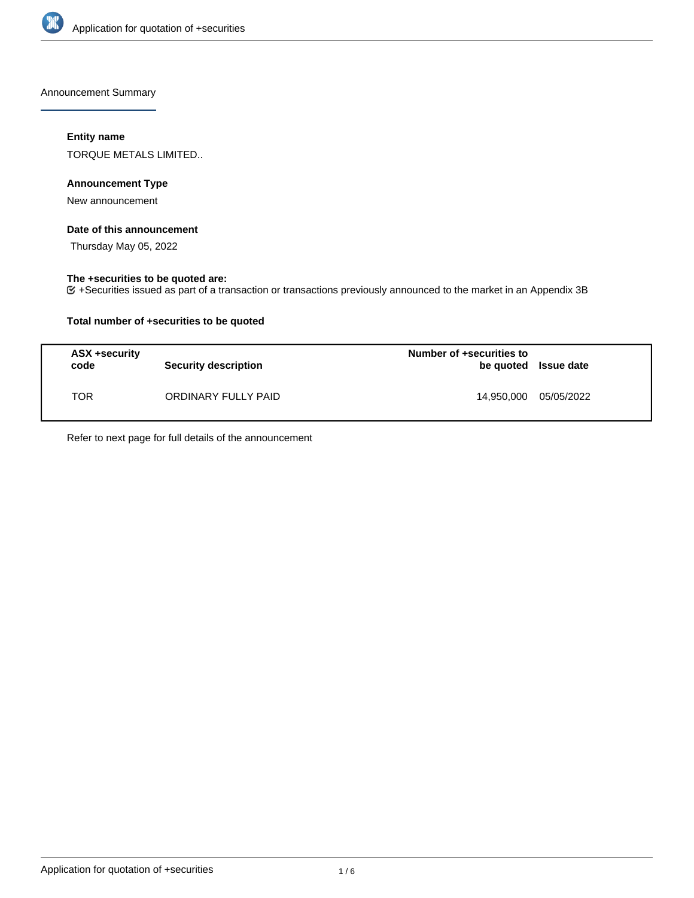

Announcement Summary

# **Entity name**

TORQUE METALS LIMITED..

# **Announcement Type**

New announcement

# **Date of this announcement**

Thursday May 05, 2022

# **The +securities to be quoted are:**

+Securities issued as part of a transaction or transactions previously announced to the market in an Appendix 3B

## **Total number of +securities to be quoted**

| <b>ASX +security</b><br>code | <b>Security description</b> | Number of +securities to<br>be quoted Issue date |            |
|------------------------------|-----------------------------|--------------------------------------------------|------------|
| TOR                          | ORDINARY FULLY PAID         | 14.950.000                                       | 05/05/2022 |

Refer to next page for full details of the announcement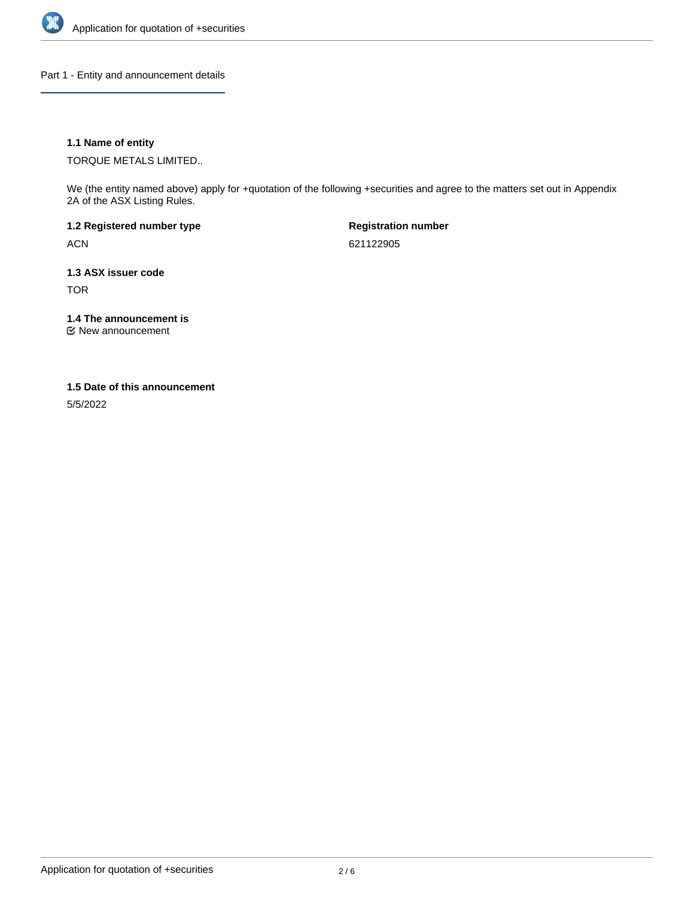

Part 1 - Entity and announcement details

## **1.1 Name of entity**

TORQUE METALS LIMITED..

We (the entity named above) apply for +quotation of the following +securities and agree to the matters set out in Appendix 2A of the ASX Listing Rules.

**1.2 Registered number type** ACN

**Registration number** 621122905

**1.3 ASX issuer code** TOR

**1.4 The announcement is**

New announcement

### **1.5 Date of this announcement**

5/5/2022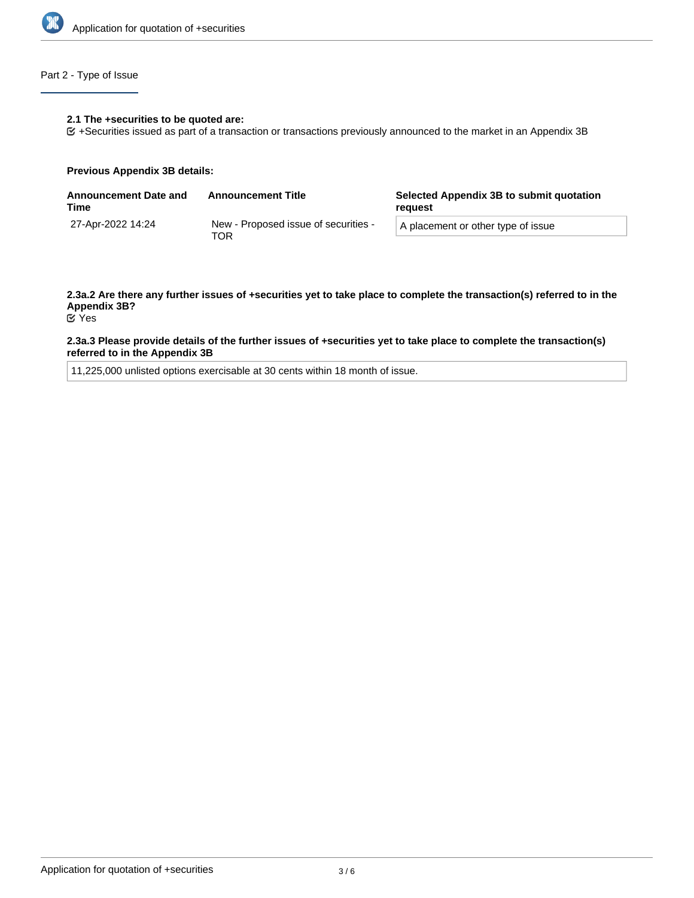

# Part 2 - Type of Issue

### **2.1 The +securities to be quoted are:**

+Securities issued as part of a transaction or transactions previously announced to the market in an Appendix 3B

### **Previous Appendix 3B details:**

| <b>Announcement Date and</b><br>Time | <b>Announcement Title</b>                   | Selected Appendix 3B to submit quotation<br>reguest |  |
|--------------------------------------|---------------------------------------------|-----------------------------------------------------|--|
| 27-Apr-2022 14:24                    | New - Proposed issue of securities -<br>TOR | A placement or other type of issue                  |  |

# **2.3a.2 Are there any further issues of +securities yet to take place to complete the transaction(s) referred to in the Appendix 3B?**

Yes

### **2.3a.3 Please provide details of the further issues of +securities yet to take place to complete the transaction(s) referred to in the Appendix 3B**

11,225,000 unlisted options exercisable at 30 cents within 18 month of issue.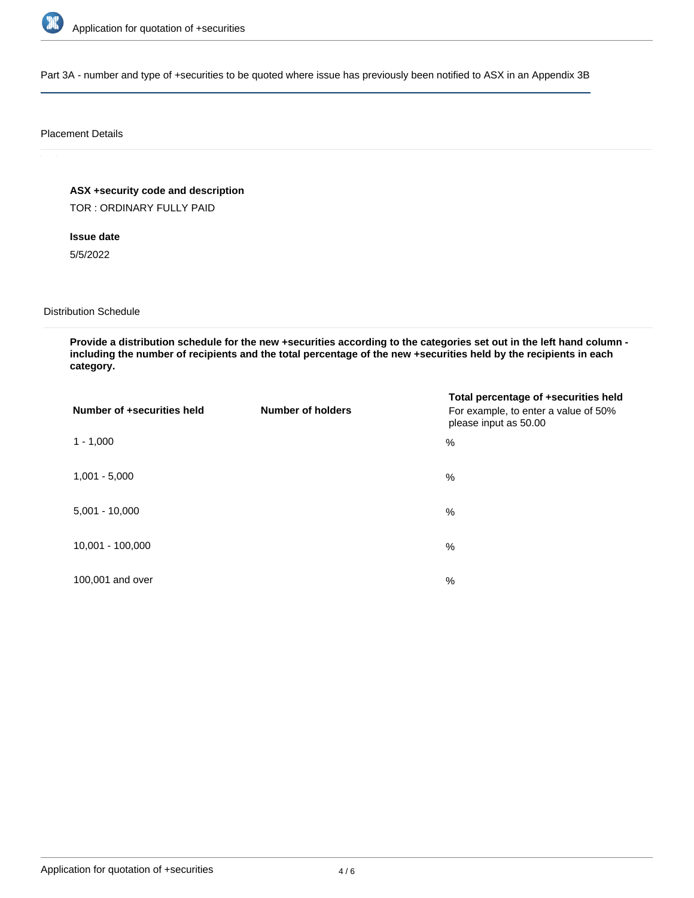

Part 3A - number and type of +securities to be quoted where issue has previously been notified to ASX in an Appendix 3B

### Placement Details

**ASX +security code and description**

TOR : ORDINARY FULLY PAID

**Issue date**

5/5/2022

Distribution Schedule

**Provide a distribution schedule for the new +securities according to the categories set out in the left hand column including the number of recipients and the total percentage of the new +securities held by the recipients in each category.**

| Number of +securities held | <b>Number of holders</b> | Total percentage of +securities held<br>For example, to enter a value of 50%<br>please input as 50.00 |
|----------------------------|--------------------------|-------------------------------------------------------------------------------------------------------|
| $1 - 1,000$                |                          | $\%$                                                                                                  |
| $1,001 - 5,000$            |                          | $\%$                                                                                                  |
| $5,001 - 10,000$           |                          | %                                                                                                     |
| 10,001 - 100,000           |                          | %                                                                                                     |
| 100,001 and over           |                          | $\%$                                                                                                  |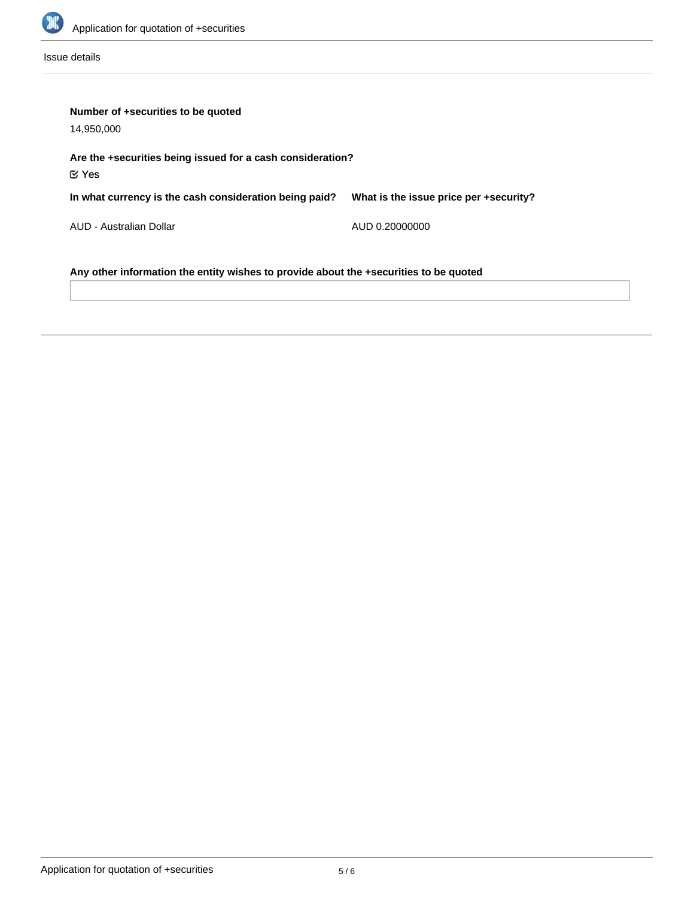

Issue details

| Number of +securities to be quoted<br>14,950,000                                      |                                        |  |  |  |
|---------------------------------------------------------------------------------------|----------------------------------------|--|--|--|
| Are the +securities being issued for a cash consideration?<br>$\mathfrak C$ Yes       |                                        |  |  |  |
| In what currency is the cash consideration being paid?                                | What is the issue price per +security? |  |  |  |
| AUD - Australian Dollar                                                               | AUD 0.20000000                         |  |  |  |
| Any other information the entity wishes to provide about the +securities to be quoted |                                        |  |  |  |